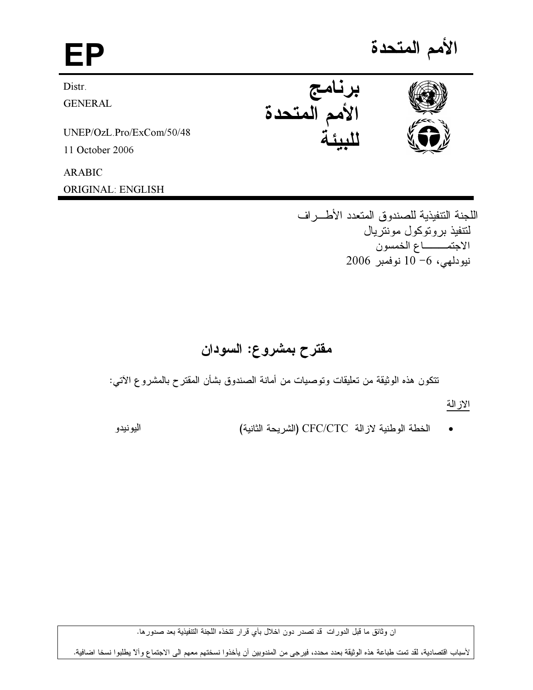الأمم المتحدة EP برنامج<br>الأمم المتحدة Distr. **GENERAL** UNEP/OzL.Pro/ExCom/50/48 11 October 2006 **ARABIC** 

**ORIGINAL: ENGLISH** 

اليونيدو

اللجنة التنفيذية للصندوق المتعدد الأطسراف لنتفيذ بر و توكول مونتر بال الاجتمـــــاع الخمسون نيودلهي، 6- 10 نوفمبر 2006

# مقترح بمشروع: السودان

نتكون هذه الوثيقة من تعليقات وتوصيات من أمانة الصندوق بشأن المقترح بالمشروع الآتي:

الاز الة

الخطة الوطنية لازالة CFC/CTC (الشريحة الثانية)

ان وثائق ما قبل الدورات قد تصدر دون اخلال بأي قرار تتخذه اللجنة التنفيذية بعد صدورها.

لأسباب اقتصادية، لقد تمت طباعة هذه الوثيقة بعدد محدد، فيرجى من المندوبين أن يأخذوا نسختهم معهم الى الاجتماع وألآ يطلبوا نسخا اضافية.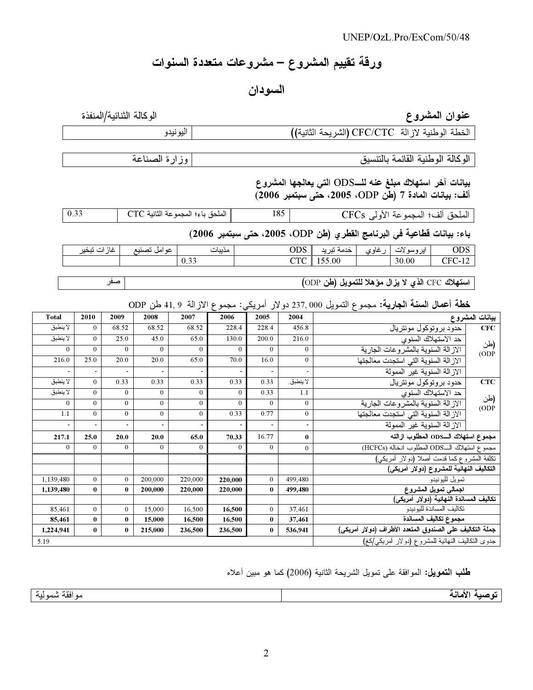# ورقة تقييم المشروع – مشروعات متعددة السنوات

## السودان

## عنوان المشروع

الوكالة الثنائية/المنفذة

| الخطة الوطنية لاز الة CFC/CTC (الشريحة الثانية)) |  |
|--------------------------------------------------|--|

الوكالة الوطنية القائمة بالتنسيق

وزارة الصناعة

اليونيدو

بيانات آخر استهلاك مبلغ عنه للــODS التي يعالجها المشروع ألف: بيانات المادة 7 (طن ODP، 2005، حتى سبتمبر 2006)

الملحق ألف؛ المجموعة الأولى CFCs الملحق باء؛ المجموعة الثانية CTC 185 0.33

باء: بيانات فطاعية في البرنامج الفطري (طن ODP، 2005، حتى سبتمبر 2006)

| غاز ات تبخير | عو امل تصنيع | مذيبات | ODS        | خدمة تبريد                                      | غاوي | ايروسولات | <b>ODS</b> |
|--------------|--------------|--------|------------|-------------------------------------------------|------|-----------|------------|
|              |              | 0.33   | <b>CTC</b> | 155.00                                          |      | 30.00     | CFC-12     |
|              |              |        |            |                                                 |      |           |            |
| صىھ          |              |        |            | استهلاك CFC الذي لا يزال مؤهلا للتمويل (طن ODP) |      |           |            |

### خطة أعمال السنة الجارية: مجموع التمويل 237,000 دولار أمريكي: مجموع الازالة 9 ,41 طن ODP

| <b>Total</b> | 2010           | 2009                     | 2008                     | 2007         | 2006         | 2005                                             | 2004                     |                                                          | بيانات المشروع |  |  |
|--------------|----------------|--------------------------|--------------------------|--------------|--------------|--------------------------------------------------|--------------------------|----------------------------------------------------------|----------------|--|--|
| لا ينطبق     | $\theta$       | 68.52                    | 68.52                    | 68.52        | 228.4        | 228.4                                            | 456.8                    | حدود بر وتوكول مونتريال                                  | CFC            |  |  |
| لا ينطبق     | $\theta$       | 25.0                     | 45.0                     | 65.0         | 130.0        | 200.0                                            | 216.0                    | حد الاستهلاك السنوى                                      | (طن            |  |  |
| $\mathbf{0}$ | $\mathbf{0}$   | $\overline{0}$           | $\mathbf{0}$             | $\mathbf{0}$ | $\mathbf{0}$ | $\mathbf{0}$                                     | $\overline{0}$           | الاز الة السنوية بالمشر وعات الجارية                     | (ODP)          |  |  |
| 216.0        | 25.0           | 20.0                     | 20.0                     | 65.0         | 70.0         | 16.0                                             | $\theta$                 | الاز الة السنوية التي استجدت معالجتها                    |                |  |  |
|              | $\blacksquare$ | $\overline{\phantom{a}}$ | $\overline{\phantom{a}}$ |              |              | $\overline{\phantom{a}}$                         | $\overline{\phantom{a}}$ | الاز الـة السنويـة غير الممولـة                          |                |  |  |
| لا ينطبق     | $\theta$       | 0.33                     | 0.33                     | 0.33         | 0.33         | 0.33                                             | لا ينطبق.                | حدود بر و تو کو ل مو نتر پال                             | CTC            |  |  |
| لا ينطبق     | $\mathbf{0}$   | $\mathbf{0}$             | $\mathbf{0}$             | $\mathbf{0}$ | $\mathbf{0}$ | 0.33                                             | 1.1                      | حد الاستهلاك السنوى                                      |                |  |  |
| $\theta$     | $\theta$       | $\mathbf{0}$             | $\theta$                 | $\mathbf{0}$ | $\theta$     | $\theta$                                         | $\mathbf{0}$             | الاز الة السنوية بالمشر وعات الجارية                     | (طن<br>ODP)    |  |  |
| 1.1          | $\theta$       | $\theta$                 | $\theta$                 | $\mathbf{0}$ | 0.33         | 0.77                                             | $\theta$                 | الاز الة السنوية التي استجدت معالجتها                    |                |  |  |
|              | $\blacksquare$ | $\overline{\phantom{a}}$ | $\overline{\phantom{a}}$ |              |              | $\overline{\phantom{a}}$                         | $\overline{\phantom{a}}$ | الاز الـة السنويـة غير الممولـة                          |                |  |  |
| 217.1        | 25.0           | 20.0                     | 20.0                     | 65.0         | 70.33        | 16.77                                            | $\bf{0}$                 | مجموع استهلاك الـODS المطلوب ازالته                      |                |  |  |
| $\Omega$     | $\theta$       | $\theta$                 | $\theta$                 | $\theta$     | $\theta$     | $\overline{0}$                                   | $\boldsymbol{0}$         | مجموع استهلاك الـODS المطلوب انخاله (HCFCs)              |                |  |  |
|              |                |                          |                          |              |              |                                                  |                          | نكلفة المشروع كما فدمت أصلا (دولار أمريكي)               |                |  |  |
|              |                |                          |                          |              |              |                                                  |                          | التكاليف النهائية للمشروع (دولار أمريكي)                 |                |  |  |
| 1,139,480    | $\theta$       | $\theta$                 | 200,000                  | 220,000      | 220,000      | $\overline{0}$                                   | 499,480                  | نمويل لليونيدو                                           |                |  |  |
| 1,139,480    | $\bf{0}$       | $\mathbf{0}$             | 200,000                  | 220,000      | 220,000      | $\bf{0}$                                         | 499,480                  | اجمالى تمويل المشروع                                     |                |  |  |
|              |                |                          |                          |              |              |                                                  |                          | تكاليف المساندة النهائية (دولار أمريكي)                  |                |  |  |
| 85,461       | $\mathbf{0}$   | $\theta$                 | 15,000                   | 16,500       | 16,500       | $\overline{0}$                                   | 37,461                   | تكاليف المساندة لليونيدو                                 |                |  |  |
| 85,461       | $\bf{0}$       | $\bf{0}$                 | 15,000                   | 16.500       | 16,500       | $\bf{0}$                                         | 37,461                   | مجموع تكاليف المساندة                                    |                |  |  |
| 1,224,941    | $\bf{0}$       | $\bf{0}$                 | 215,000                  | 236,500      | 236,500      | $\bf{0}$                                         | 536.941                  | جملة التكاليف على الصندوق المتعدد الأطراف (دولار أمريكي) |                |  |  |
| 5.19         |                |                          |                          |              |              | جدوى النكاليف النهائية للمشروع (دولار أمريكي/كغ) |                          |                                                          |                |  |  |

طلب التمويل: الموافقة على تمويل الشريحة الثانية (2006) كما هو مبين أعلاه

توصية الأمانة

مو افقة شمولية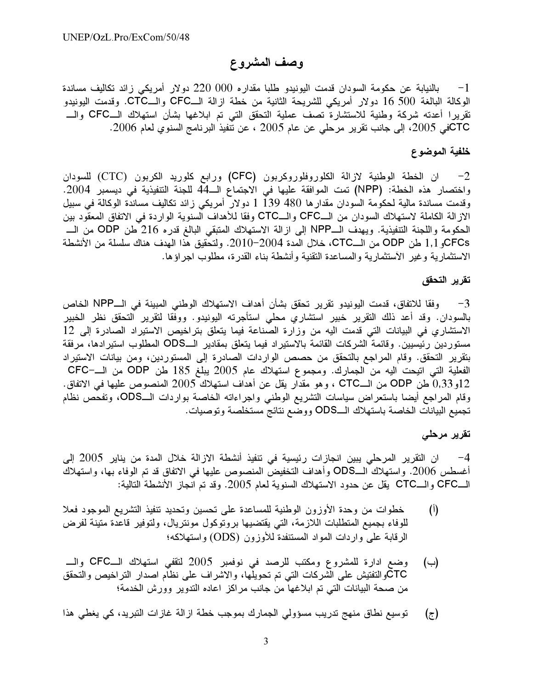## وصف المشروع

بالنيابة عن حكومة السودان قدمت اليونيدو طلبا مقداره 000 220 دولار أمريكي زائد تكاليف مساندة  $-1$ الوكالة البالغة 500 16 دولار أمريكي للشريحة الثانية من خطة ازالة الـــCFC والـــCTC. وقدمت اليونيدو تقريرا أعدته شركة وطنية للاستشارة تصف عملية التحقق التي تم ابلاغها بشأن استهلاك الــCFC والــــ CTCفي 2005، إلى جانب تقرير مرحلي عن عام 2005 ، عن نتفيذ البرنامج السنوي لعام 2006.

#### خلفية الموضوع

ان الخطة الوطنية لازالة الكلوروفلوروكربون (CFC) ورابع كلوريد الكربون (CTC) للسودان  $-2$ واختصار هذه الخطة: (NPP) تمت الموافقة عليها في الاجتماع الــ44 للجنة التتفيذية في ديسمبر 2004. وقدمت مساندة مالية لحكومة السودان مقدارها 480 139 1 دولار أمريكي زائد تكاليف مساندة الوكالة في سبيل الازالة الكاملة لاستهلاك السودان من الـــCFC والـــCTC وفقا للأهداف السنوية الواردة في الاتفاق المعقّود بين الحكومة واللجنة التنفيذية. ويهدف الـNPP إلى ازالة الاستهلاك المتبقى البالغ قدره 216 طن ODP من الــــ CFCsو 1,1 طن ODP من الــCTC، خلال المدة 2004−2010. ولتحقيق هذا الهدف هناك سلسلة من الأنشطة الاستثمارية وغير الآستثمارية والمساعدة التقنية وأنشطة بناء القدرة، مطلوب اجراؤها.

#### تقرير التحقق

3− وفقا للاتفاق، قدمت اليونيدو تقرير تحقق بشأن أهداف الاستهلاك الوطني المبينة في الــNPP الخاص بالسودان. وقد أعد ذلك النقرير خبير استشارى محلى استأجرته اليونيدو. ووفقا لتقرير التحقق نظر الخبير الاستشارى في البيانات التي قدمت اليه من وزارة الصناعة فيما يتعلق بتراخيص الاستيراد الصادرة إلى 12 مستوردين رئيسيين. وقائمة الشركات القائمة بالاستيراد فيما يتعلق بمقادير الـــODS المطلوب استيرادها، مرفقة بتقرير التحقق. وقام المراجع بالتحقق من حصص الواردات الصادرة إلى المستوردين، ومن بيانات الاستيراد الفعلية التي اتيحت اليه من الجمارك. ومجموع استهلاك عام 2005 يبلغ 185 طن ODP من الــــــCFC 12و 0,33 طن ODP من الـــCTC ، وهو مقدار يقل عن أهداف استهلاك 2005 المنصوص عليها في الاتفاق. وقام المراجع أيضا باستعراض سياسات التشريع الوطني واجراءاته الخاصة بواردات الــODS، وتفحَّص نظام تجميع البيانات الخاصة باستهلاك الــODS ووضع نتائج مستخلصة وتوصيات.

#### تقریر مرحل*ی*

4– ان التقرير المرحلي يبين انجاز ات رئيسية في تنفيذ أنشطة الاز الـة خلال المدة من يناير 2005 إلى أغسطس 2006. واستهلاك الــODS وأهداف التخفيض المنصوص عليها في الاتفاق قد تم الوفاء بها، واستهلاك الــCFC والـــCTC يقل عن حدود الاستهلاك السنوية لمعلم 2005. وقد تم اُنجاز الأنشطة التالية:

- خطوات من وحدة الأوزون الوطنية للمساعدة على تحسين وتحديد تنفيذ التشريع الموجود فعلا  $\binom{1}{1}$ للوفاء بجميع المتطلبات اللازمة، التي يقتضيها بروتوكول مونتريال، ولتوفير قاعدة متينة لفرض الرقابة على واردات المواد المستنفدة للأوزون (ODS) واستهلاكه؛
- وضع ادارة للمشروع ومكتب للرصد في نوفمبر 2005 لتقفي استهلاك الــCFC والـــ  $(\rightarrow)$ CTCوالتفتيش على الشركات التي تم تحويلها، والاشراف على نظام اصدار التراخيص والتحقق من صحة البيانات التي تم ابلاغها من جانب مراكز اعاده التدوير وورش الخدمة؛
- توسيع نطاق منهج تدريب مسؤولي الجمارك بموجب خطة ازالة غازات التبريد، كي يغطي هذا  $(\bar{z})$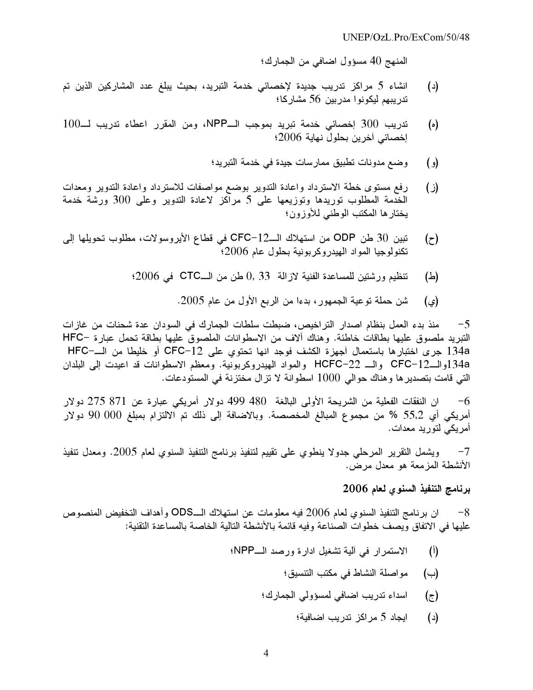المنهج 40 مسؤول اضافي من الجمارك؛

- انشاء 5 مراكز تدريب جديدة لإخصائي خدمة التبريد، بحيث يبلغ عدد المشاركين الذين تم  $(\iota)$ تدريبهم ليكونوا مدربين 56 مشاركا؛
- تدريب 300 إخصائي خدمة تبريد بموجب الـNPP، ومن المقرر اعطاء تدريب لــ100  $(\circ)$ إخصائي آخرين بحلول نهاية 2006؛
	- وضع مدونات تطبيق ممارسات جيدة في خدمة التبريد؛  $\epsilon$
- رفع مستوى خطة الاسترداد واعادة التدوير بوضع مواصفات للاسترداد واعادة التدوير ومعدات  $(i)$ الخدمة المطلوب توريدها وتوزيعها على 5 مراكز لاعادة التدوير وعلى 300 ورشة خدمة يختار ها المكتب الوطني للأوزون؛
- تبين 30 طن ODP من استهلاك الــCFC-12 في قطاع الأيروسولات، مطلوب تحويلها إلى  $(z)$ تكنولوجيا المواد الهيدروكربونية بحلول عام 2006؛
	- تنظيم ورشتين للمساعدة الفنية لازالة 33 ,0 طن من الــــCTC في 2006؛ (스)
		- شن حملة توعية الجمهور، بدءا من الربع الأول من عام 2005. (ي)

منذ بدء العمل بنظام اصدار التراخيص، ضبطت سلطات الجمارك في السودان عدة شحنات من غازات  $-5$ التبريد ملصوق عليها بطاقات خاطئة. وهناك ألاف من الاسطوانات الملصوق عليها بطاقة تحمل عبارة −HFC 134a جرى اختبارها باستعمال أجهزة الكشف فوجد انها تحتوي على CFC-12 أو خليطا من الــــــــــــــــــــــــــــــ 134aوالـCFC-12 والــ HCFC-22 والمواد الهيدروكربونية. ومعظم الاسطوانات قد اعيدت إلى البلدان التي قامت بتصدير ها و هناك حوالي 1000 اسطوانة لا تز ال مختزنة في المستودعات.

ان النفقات الفعلية من الشريحة الأولى البالغة 480 499 دولار أمريكي عبارة عن 871 275 دولار  $-6$ أمريكي أي 55,2 % من مجموع المبالغ المخصصة. وبالاضافة إلى ذلك تم الالتزام بمبلغ 000 90 دولار أمريكي لتوريد معدات.

ويشمل التقرير المرحلي جدولا ينطوى على تقييم لتنفيذ برنامج التنفيذ السنوى لعام 2005. ومعدل تنفيذ  $-7$ الأنشطة المزمعة هو معدل مرض.

## برنامج التنفيذ السنوى لعام 2006

ان بر نامج التنفيذ السنوى لعام 2006 فيه معلومات عن استهلاك الــODS وأهداف التخفيض المنصوص  $-8$ عليها في الاتفاق ويصف خطوات الصناعة وفيه قائمة بالأنشطة التالية الخاصة بالمساعدة التقنية:

- الاستمرار في ألية تشغيل ادارة ورصد الـNPP؛  $\mathcal{L}(\mathfrak{h})$ 
	- مواصلة النشاط في مكتب التتسيق؛  $(\rightarrow)$
	- اسداء تدريب اضافي لمسؤولي الجمارك؛  $(\tau)$ 
		- ايجاد 5 مراكز تدريب اضافية؛  $(\iota)$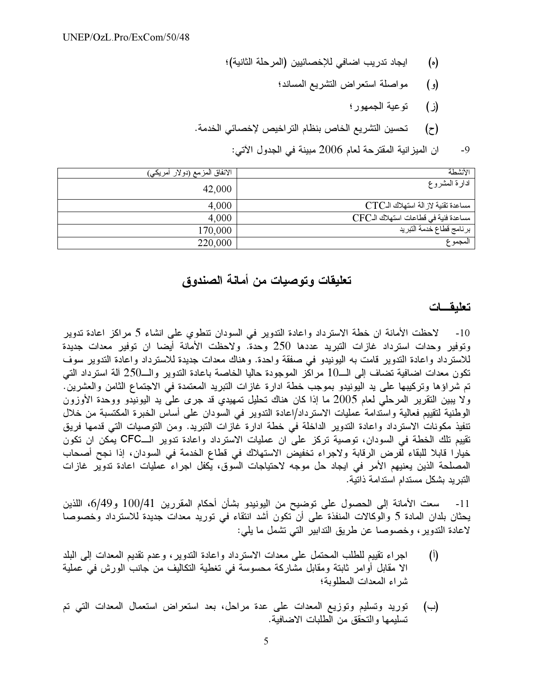- ايجاد تدر يب اضـافي للإخصـائيين (المر حلة الثانية)؛  $(\circ)$ 
	- مواصلة استعر اض التشريع المساند؛  $\left( \rho \right)$ 
		- $(i)$ توعية الجمهور ؛
- تحسين التشريع الخاص بنظام التر اخيص لإخصائي الخدمة.  $(\tau)$

ان الميز انية المقترحة لعام 2006 مبينة في الجدول الآتي:  $-9$ 

| الأنشطة                              | الانفاق المزمع (دولار أمريكي) |
|--------------------------------------|-------------------------------|
| ادارة المشروع                        | 42,000                        |
| مساعدة تقنية لاز الة استهلاك الـCTC  | 4,000                         |
| مساعدة فنية في قطاعات استهلاك الـCFC | 4,000                         |
| برنامج قطاع خدمة التبريد             | 170,000                       |
| المجموع                              | 220,000                       |

## تعليقات وتوصيات من أمانة الصندوق

## تعليقات

10- لاحظت الأمانة ان خطة الاسترداد واعادة التدوير في السودان نتطوى على انشاء 5 مراكز اعادة تدوير وتوفير وحدات استرداد غازات التبريد عددها 250 وحدة. ولاحظت الأمانة أيضا ان توفير معدات جديدة للاسترداد واعادة التدوير قامت به اليونيدو في صفقة واحدة. وهناك معدات جديدة للاسترداد واعادة التدوير سوف تكون معدات اضافية تضاف إلى الـــ10 مراكز الموجودة حاليا الخاصة باعادة التدوير والـــ250 آلة استرداد التي تم شراؤها وتركيبها على يد اليونيدو بموجب خطة ادارة غازات التبريد المعتمدة في الاجتماع الثامن والعشرين. ولا يبين التقرير المرحلي لعام 2005 ما إذا كان هناك تحليل تمهيدي قد جرى على يد اليونيدو ووحدة الأوزون الوطنية لتقييم فعالية واستدامة عمليات الاسترداد/اعادة التدوير في السودان على أساس الخبرة المكتسبة من خلال تنفيذ مكونات الاسترداد واعادة التدوير الداخلة في خطة ادارة غازات التبريد. ومن التوصيات التي قدمها فريق تقييم تلك الخطة في السودان، توصية تركز على ان عمليات الاسترداد واعادة تدوير الــCFC يمكن ان تكون خيارًا قابلًا للبقاء لفرض الرقابة ولاجراء تخفيض الاستهلاك في قطاع الخدمة في السودان، إذا نجح أصحاب المصلحة الذين يعنيهم الأمر في ايجاد حل موجه لاحتياجات السوق، يكفل اجراء عمليات اعادة تدوير غازات التبريد بشكل مستدام استدامة ذاتية.

سعت الأمانة إلى الحصول على توضيح من اليونيدو بشأن أحكام المقررين 100/41 و6/49، اللذين  $-11$ يحثان بلدان المادة 5 والوكالات المنفذة على أن تكون أشد انتقاء في توريد معدات جديدة للاسترداد وخصوصا لاعادة التدوير ، وخصوصا عن طريق التدابير التبي تشمل ما يلبي:

- اجراء نقييم للطلب المحتمل على معدات الاسترداد واعادة التدوير، وعدم نقديم المعدات إلى البلد  $\left($ <sup>[</sup> $\right)$ ] الا مقابل أوامر ثابتة ومقابل مشاركة محسوسة في تغطية التكاليف من جانب الورش في عملية شر اء المعدات المطلوبة؛
- توريد وتسليم وتوزيع المعدات على عدة مراحل، بعد استعراض استعمال المعدات التبي تم (ب) تسليمها والتحقق من الطلبات الاضافية.